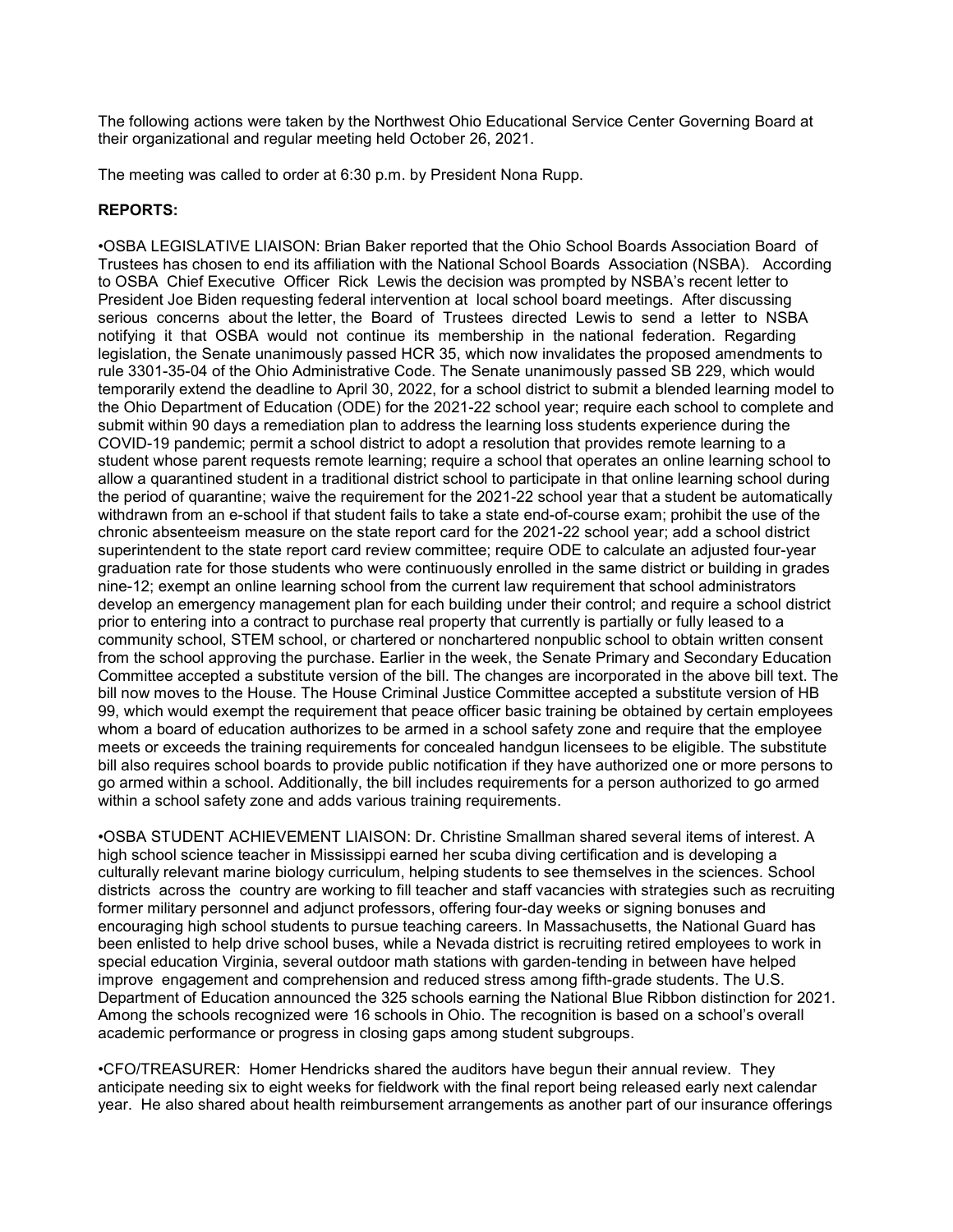The following actions were taken by the Northwest Ohio Educational Service Center Governing Board at their organizational and regular meeting held October 26, 2021.

The meeting was called to order at 6:30 p.m. by President Nona Rupp.

## REPORTS:

•OSBA LEGISLATIVE LIAISON: Brian Baker reported that the Ohio School Boards Association Board of Trustees has chosen to end its affiliation with the National School Boards Association (NSBA). According to OSBA Chief Executive Officer Rick Lewis the decision was prompted by NSBA's recent letter to President Joe Biden requesting federal intervention at local school board meetings. After discussing serious concerns about the letter, the Board of Trustees directed Lewis to send a letter to NSBA notifying it that OSBA would not continue its membership in the national federation. Regarding legislation, the Senate unanimously passed HCR 35, which now invalidates the proposed amendments to rule 3301-35-04 of the Ohio Administrative Code. The Senate unanimously passed SB 229, which would temporarily extend the deadline to April 30, 2022, for a school district to submit a blended learning model to the Ohio Department of Education (ODE) for the 2021-22 school year; require each school to complete and submit within 90 days a remediation plan to address the learning loss students experience during the COVID-19 pandemic; permit a school district to adopt a resolution that provides remote learning to a student whose parent requests remote learning; require a school that operates an online learning school to allow a quarantined student in a traditional district school to participate in that online learning school during the period of quarantine; waive the requirement for the 2021-22 school year that a student be automatically withdrawn from an e-school if that student fails to take a state end-of-course exam; prohibit the use of the chronic absenteeism measure on the state report card for the 2021-22 school year; add a school district superintendent to the state report card review committee; require ODE to calculate an adjusted four-year graduation rate for those students who were continuously enrolled in the same district or building in grades nine-12; exempt an online learning school from the current law requirement that school administrators develop an emergency management plan for each building under their control; and require a school district prior to entering into a contract to purchase real property that currently is partially or fully leased to a community school, STEM school, or chartered or nonchartered nonpublic school to obtain written consent from the school approving the purchase. Earlier in the week, the Senate Primary and Secondary Education Committee accepted a substitute version of the bill. The changes are incorporated in the above bill text. The bill now moves to the House. The House Criminal Justice Committee accepted a substitute version of HB 99, which would exempt the requirement that peace officer basic training be obtained by certain employees whom a board of education authorizes to be armed in a school safety zone and require that the employee meets or exceeds the training requirements for concealed handgun licensees to be eligible. The substitute bill also requires school boards to provide public notification if they have authorized one or more persons to go armed within a school. Additionally, the bill includes requirements for a person authorized to go armed within a school safety zone and adds various training requirements.

•OSBA STUDENT ACHIEVEMENT LIAISON: Dr. Christine Smallman shared several items of interest. A high school science teacher in Mississippi earned her scuba diving certification and is developing a culturally relevant marine biology curriculum, helping students to see themselves in the sciences. School districts across the country are working to fill teacher and staff vacancies with strategies such as recruiting former military personnel and adjunct professors, offering four-day weeks or signing bonuses and encouraging high school students to pursue teaching careers. In Massachusetts, the National Guard has been enlisted to help drive school buses, while a Nevada district is recruiting retired employees to work in special education Virginia, several outdoor math stations with garden-tending in between have helped improve engagement and comprehension and reduced stress among fifth-grade students. The U.S. Department of Education announced the 325 schools earning the National Blue Ribbon distinction for 2021. Among the schools recognized were 16 schools in Ohio. The recognition is based on a school's overall academic performance or progress in closing gaps among student subgroups.

•CFO/TREASURER: Homer Hendricks shared the auditors have begun their annual review. They anticipate needing six to eight weeks for fieldwork with the final report being released early next calendar year. He also shared about health reimbursement arrangements as another part of our insurance offerings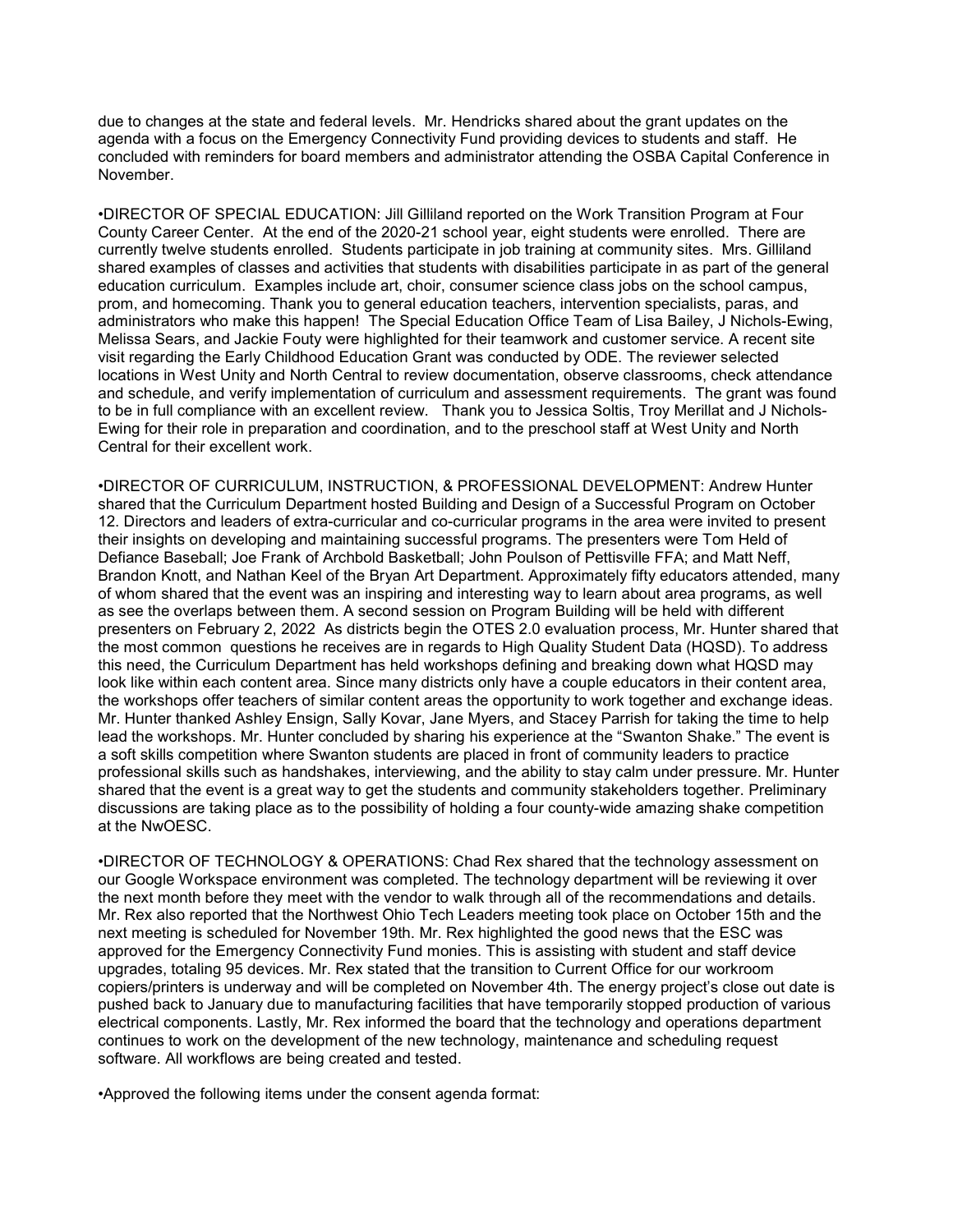due to changes at the state and federal levels. Mr. Hendricks shared about the grant updates on the agenda with a focus on the Emergency Connectivity Fund providing devices to students and staff. He concluded with reminders for board members and administrator attending the OSBA Capital Conference in November.

•DIRECTOR OF SPECIAL EDUCATION: Jill Gilliland reported on the Work Transition Program at Four County Career Center. At the end of the 2020-21 school year, eight students were enrolled. There are currently twelve students enrolled. Students participate in job training at community sites. Mrs. Gilliland shared examples of classes and activities that students with disabilities participate in as part of the general education curriculum. Examples include art, choir, consumer science class jobs on the school campus, prom, and homecoming. Thank you to general education teachers, intervention specialists, paras, and administrators who make this happen! The Special Education Office Team of Lisa Bailey, J Nichols-Ewing, Melissa Sears, and Jackie Fouty were highlighted for their teamwork and customer service. A recent site visit regarding the Early Childhood Education Grant was conducted by ODE. The reviewer selected locations in West Unity and North Central to review documentation, observe classrooms, check attendance and schedule, and verify implementation of curriculum and assessment requirements. The grant was found to be in full compliance with an excellent review. Thank you to Jessica Soltis, Troy Merillat and J Nichols-Ewing for their role in preparation and coordination, and to the preschool staff at West Unity and North Central for their excellent work.

•DIRECTOR OF CURRICULUM, INSTRUCTION, & PROFESSIONAL DEVELOPMENT: Andrew Hunter shared that the Curriculum Department hosted Building and Design of a Successful Program on October 12. Directors and leaders of extra-curricular and co-curricular programs in the area were invited to present their insights on developing and maintaining successful programs. The presenters were Tom Held of Defiance Baseball; Joe Frank of Archbold Basketball; John Poulson of Pettisville FFA; and Matt Neff, Brandon Knott, and Nathan Keel of the Bryan Art Department. Approximately fifty educators attended, many of whom shared that the event was an inspiring and interesting way to learn about area programs, as well as see the overlaps between them. A second session on Program Building will be held with different presenters on February 2, 2022 As districts begin the OTES 2.0 evaluation process, Mr. Hunter shared that the most common questions he receives are in regards to High Quality Student Data (HQSD). To address this need, the Curriculum Department has held workshops defining and breaking down what HQSD may look like within each content area. Since many districts only have a couple educators in their content area, the workshops offer teachers of similar content areas the opportunity to work together and exchange ideas. Mr. Hunter thanked Ashley Ensign, Sally Kovar, Jane Myers, and Stacey Parrish for taking the time to help lead the workshops. Mr. Hunter concluded by sharing his experience at the "Swanton Shake." The event is a soft skills competition where Swanton students are placed in front of community leaders to practice professional skills such as handshakes, interviewing, and the ability to stay calm under pressure. Mr. Hunter shared that the event is a great way to get the students and community stakeholders together. Preliminary discussions are taking place as to the possibility of holding a four county-wide amazing shake competition at the NwOESC.

•DIRECTOR OF TECHNOLOGY & OPERATIONS: Chad Rex shared that the technology assessment on our Google Workspace environment was completed. The technology department will be reviewing it over the next month before they meet with the vendor to walk through all of the recommendations and details. Mr. Rex also reported that the Northwest Ohio Tech Leaders meeting took place on October 15th and the next meeting is scheduled for November 19th. Mr. Rex highlighted the good news that the ESC was approved for the Emergency Connectivity Fund monies. This is assisting with student and staff device upgrades, totaling 95 devices. Mr. Rex stated that the transition to Current Office for our workroom copiers/printers is underway and will be completed on November 4th. The energy project's close out date is pushed back to January due to manufacturing facilities that have temporarily stopped production of various electrical components. Lastly, Mr. Rex informed the board that the technology and operations department continues to work on the development of the new technology, maintenance and scheduling request software. All workflows are being created and tested.

•Approved the following items under the consent agenda format: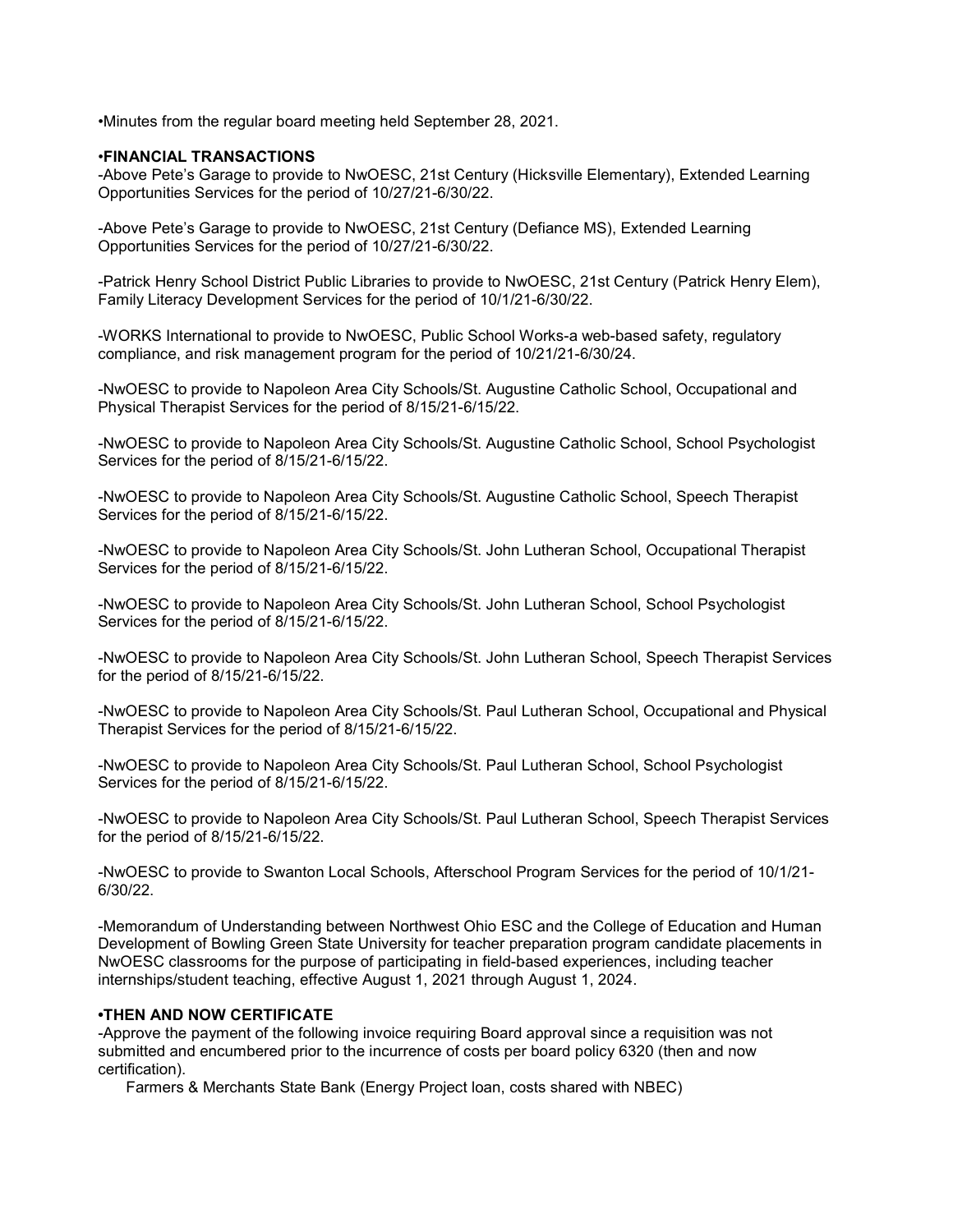•Minutes from the regular board meeting held September 28, 2021.

#### •FINANCIAL TRANSACTIONS

-Above Pete's Garage to provide to NwOESC, 21st Century (Hicksville Elementary), Extended Learning Opportunities Services for the period of 10/27/21-6/30/22.

-Above Pete's Garage to provide to NwOESC, 21st Century (Defiance MS), Extended Learning Opportunities Services for the period of 10/27/21-6/30/22.

-Patrick Henry School District Public Libraries to provide to NwOESC, 21st Century (Patrick Henry Elem), Family Literacy Development Services for the period of 10/1/21-6/30/22.

-WORKS International to provide to NwOESC, Public School Works-a web-based safety, regulatory compliance, and risk management program for the period of 10/21/21-6/30/24.

-NwOESC to provide to Napoleon Area City Schools/St. Augustine Catholic School, Occupational and Physical Therapist Services for the period of 8/15/21-6/15/22.

-NwOESC to provide to Napoleon Area City Schools/St. Augustine Catholic School, School Psychologist Services for the period of 8/15/21-6/15/22.

-NwOESC to provide to Napoleon Area City Schools/St. Augustine Catholic School, Speech Therapist Services for the period of 8/15/21-6/15/22.

-NwOESC to provide to Napoleon Area City Schools/St. John Lutheran School, Occupational Therapist Services for the period of 8/15/21-6/15/22.

-NwOESC to provide to Napoleon Area City Schools/St. John Lutheran School, School Psychologist Services for the period of 8/15/21-6/15/22.

-NwOESC to provide to Napoleon Area City Schools/St. John Lutheran School, Speech Therapist Services for the period of 8/15/21-6/15/22.

-NwOESC to provide to Napoleon Area City Schools/St. Paul Lutheran School, Occupational and Physical Therapist Services for the period of 8/15/21-6/15/22.

-NwOESC to provide to Napoleon Area City Schools/St. Paul Lutheran School, School Psychologist Services for the period of 8/15/21-6/15/22.

-NwOESC to provide to Napoleon Area City Schools/St. Paul Lutheran School, Speech Therapist Services for the period of 8/15/21-6/15/22.

-NwOESC to provide to Swanton Local Schools, Afterschool Program Services for the period of 10/1/21- 6/30/22.

-Memorandum of Understanding between Northwest Ohio ESC and the College of Education and Human Development of Bowling Green State University for teacher preparation program candidate placements in NwOESC classrooms for the purpose of participating in field-based experiences, including teacher internships/student teaching, effective August 1, 2021 through August 1, 2024.

### •THEN AND NOW CERTIFICATE

-Approve the payment of the following invoice requiring Board approval since a requisition was not submitted and encumbered prior to the incurrence of costs per board policy 6320 (then and now certification).

Farmers & Merchants State Bank (Energy Project loan, costs shared with NBEC)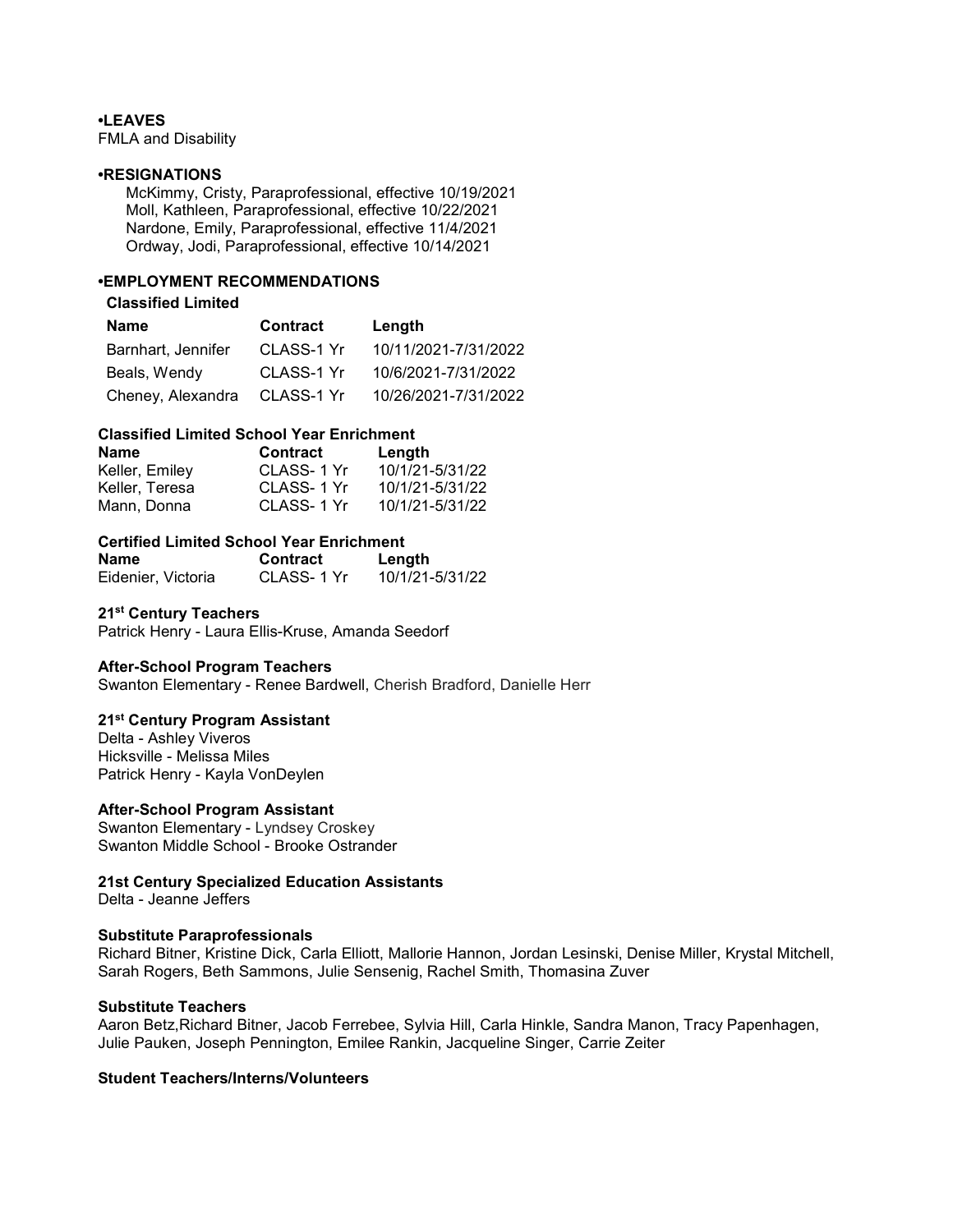## •LEAVES

FMLA and Disability

#### •RESIGNATIONS

 McKimmy, Cristy, Paraprofessional, effective 10/19/2021 Moll, Kathleen, Paraprofessional, effective 10/22/2021 Nardone, Emily, Paraprofessional, effective 11/4/2021 Ordway, Jodi, Paraprofessional, effective 10/14/2021

## •EMPLOYMENT RECOMMENDATIONS

### Classified Limited

| <b>Name</b>        | Contract   | Length               |
|--------------------|------------|----------------------|
| Barnhart, Jennifer | CLASS-1 Yr | 10/11/2021-7/31/2022 |
| Beals, Wendy       | CLASS-1 Yr | 10/6/2021-7/31/2022  |
| Cheney, Alexandra  | CLASS-1 Yr | 10/26/2021-7/31/2022 |

## Classified Limited School Year Enrichment

| Name           | <b>Contract</b> | Length          |
|----------------|-----------------|-----------------|
| Keller, Emiley | CLASS-1 Yr      | 10/1/21-5/31/22 |
| Keller. Teresa | CLASS-1 Yr      | 10/1/21-5/31/22 |
| Mann. Donna    | CLASS-1 Yr      | 10/1/21-5/31/22 |

## Certified Limited School Year Enrichment

| Name               | <b>Contract</b> | Length          |
|--------------------|-----------------|-----------------|
| Eidenier, Victoria | CLASS- 1 Yr     | 10/1/21-5/31/22 |

## 21<sup>st</sup> Century Teachers

Patrick Henry - Laura Ellis-Kruse, Amanda Seedorf

## After-School Program Teachers

Swanton Elementary - Renee Bardwell, Cherish Bradford, Danielle Herr

### 21<sup>st</sup> Century Program Assistant

Delta - Ashley Viveros Hicksville - Melissa Miles Patrick Henry - Kayla VonDeylen

### After-School Program Assistant

Swanton Elementary - Lyndsey Croskey Swanton Middle School - Brooke Ostrander

### 21st Century Specialized Education Assistants

Delta - Jeanne Jeffers

#### Substitute Paraprofessionals

Richard Bitner, Kristine Dick, Carla Elliott, Mallorie Hannon, Jordan Lesinski, Denise Miller, Krystal Mitchell, Sarah Rogers, Beth Sammons, Julie Sensenig, Rachel Smith, Thomasina Zuver

#### Substitute Teachers

Aaron Betz,Richard Bitner, Jacob Ferrebee, Sylvia Hill, Carla Hinkle, Sandra Manon, Tracy Papenhagen, Julie Pauken, Joseph Pennington, Emilee Rankin, Jacqueline Singer, Carrie Zeiter

## Student Teachers/Interns/Volunteers